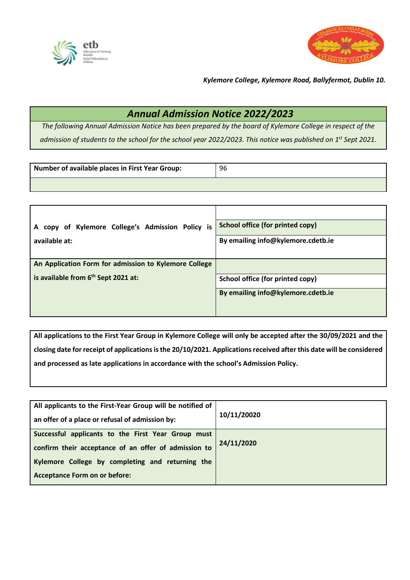



*Kylemore College, Kylemore Road, Ballyfermot, Dublin 10.*

## *Annual Admission Notice 2022/2023*

*The following Annual Admission Notice has been prepared by the board of Kylemore College in respect of the admission of students to the school for the school year 2022/2023. This notice was published on 1st Sept 2021.*

| Number of available places in First Year Group: | 96 |
|-------------------------------------------------|----|
|                                                 |    |

| A copy of Kylemore College's Admission Policy is      | <b>School office (for printed copy)</b> |
|-------------------------------------------------------|-----------------------------------------|
| available at:                                         | By emailing info@kylemore.cdetb.ie      |
|                                                       |                                         |
| An Application Form for admission to Kylemore College |                                         |
| is available from 6 <sup>th</sup> Sept 2021 at:       | School office (for printed copy)        |
|                                                       | By emailing info@kylemore.cdetb.ie      |
|                                                       |                                         |

**All applications to the First Year Group in Kylemore College will only be accepted after the 30/09/2021 and the closing date for receipt of applications is the 20/10/2021. Applications received after this date will be considered and processed as late applications in accordance with the school's Admission Policy.**

| All applicants to the First-Year Group will be notified of<br>an offer of a place or refusal of admission by: | 10/11/20020 |
|---------------------------------------------------------------------------------------------------------------|-------------|
| Successful applicants to the First Year Group must<br>confirm their acceptance of an offer of admission to    | 24/11/2020  |
| Kylemore College by completing and returning the<br><b>Acceptance Form on or before:</b>                      |             |